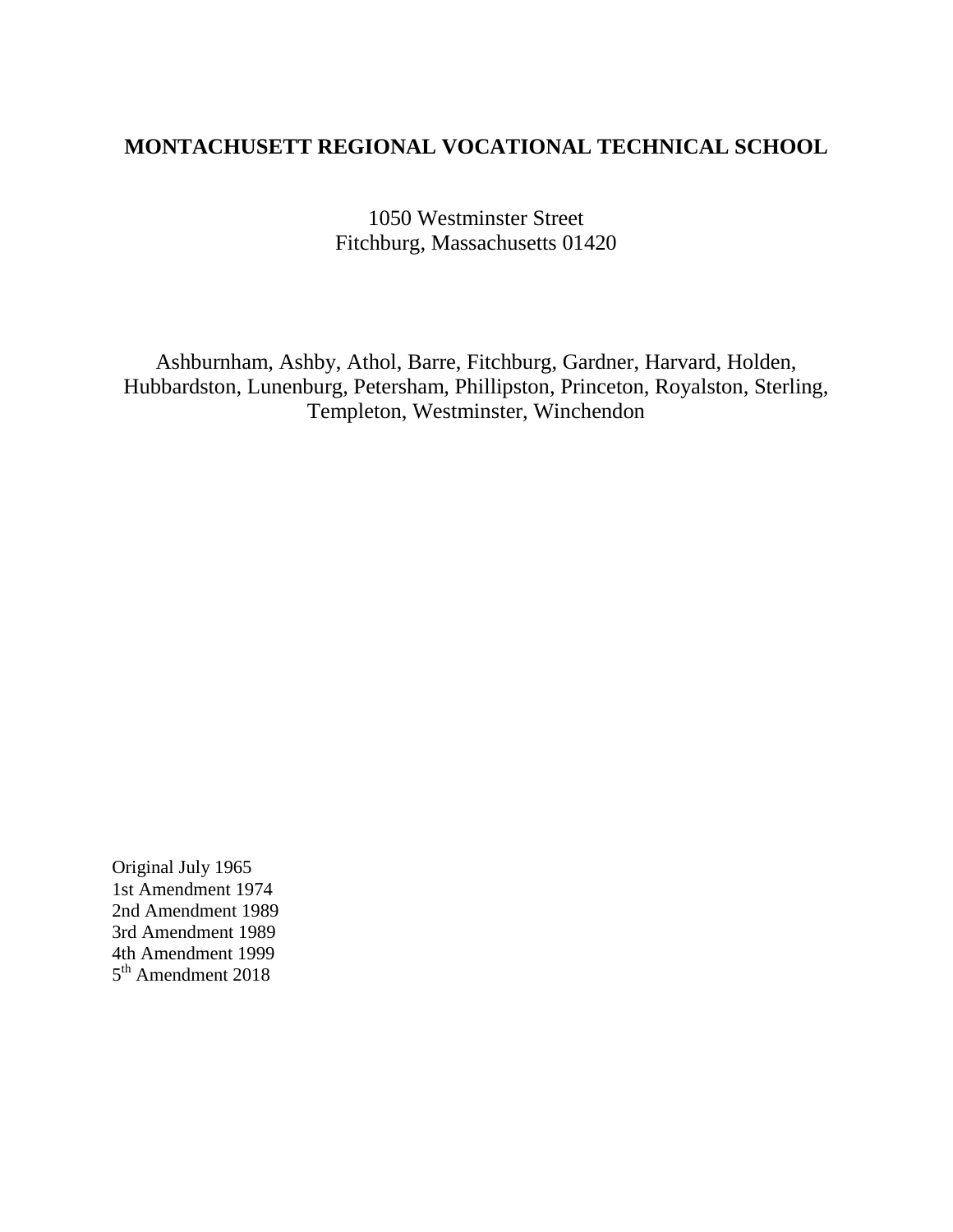# **MONTACHUSETT REGIONAL VOCATIONAL TECHNICAL SCHOOL**

1050 Westminster Street Fitchburg, Massachusetts 01420

Ashburnham, Ashby, Athol, Barre, Fitchburg, Gardner, Harvard, Holden, Hubbardston, Lunenburg, Petersham, Phillipston, Princeton, Royalston, Sterling, Templeton, Westminster, Winchendon

Original July 1965 1st Amendment 1974 2nd Amendment 1989 3rd Amendment 1989 4th Amendment 1999 5<sup>th</sup> Amendment 2018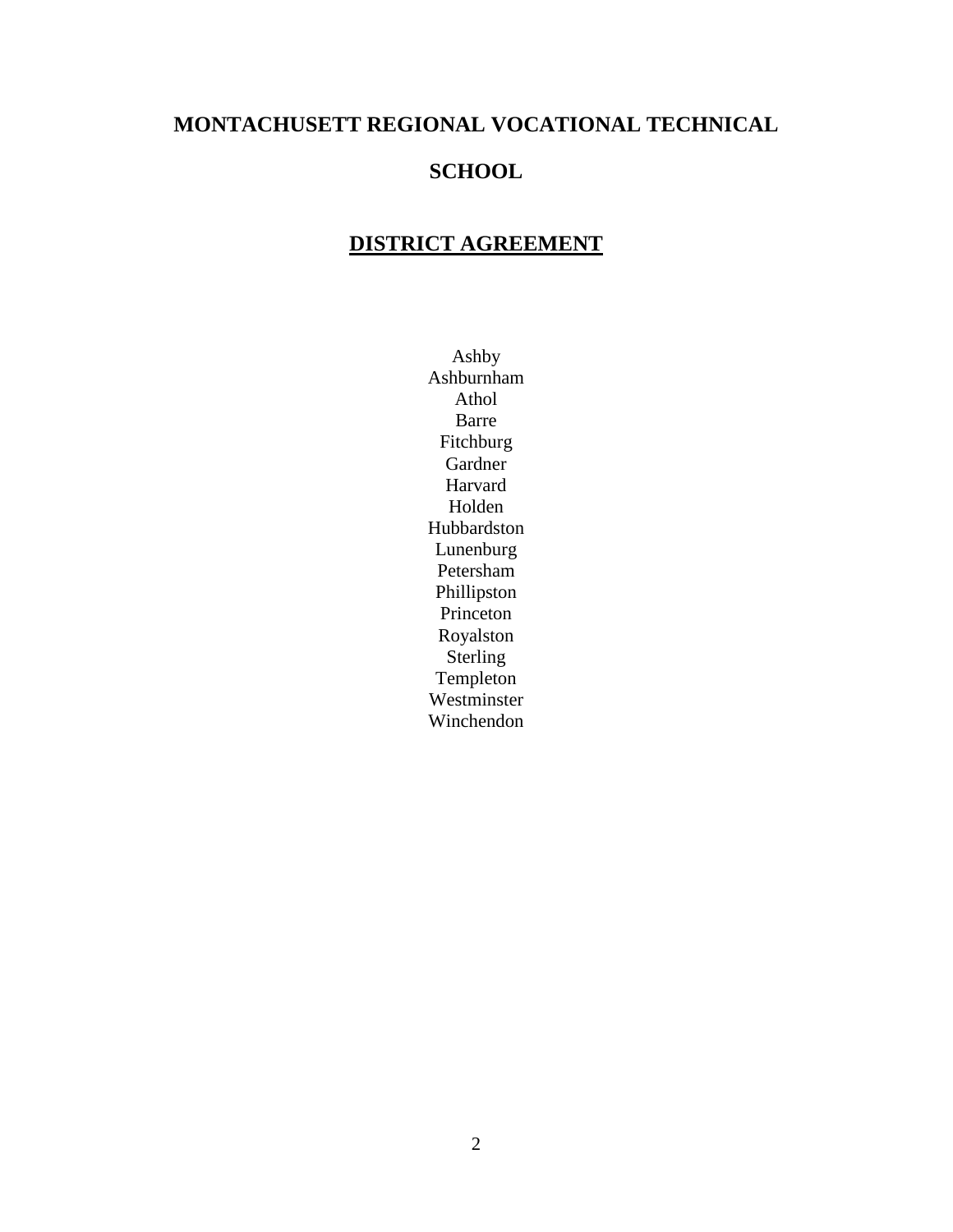# **MONTACHUSETT REGIONAL VOCATIONAL TECHNICAL SCHOOL**

# **DISTRICT AGREEMENT**

Ashby Ashburnham Athol Barre Fitchburg Gardner Harvard Holden Hubbardston Lunenburg Petersham Phillipston Princeton Royalston Sterling Templeton Westminster Winchendon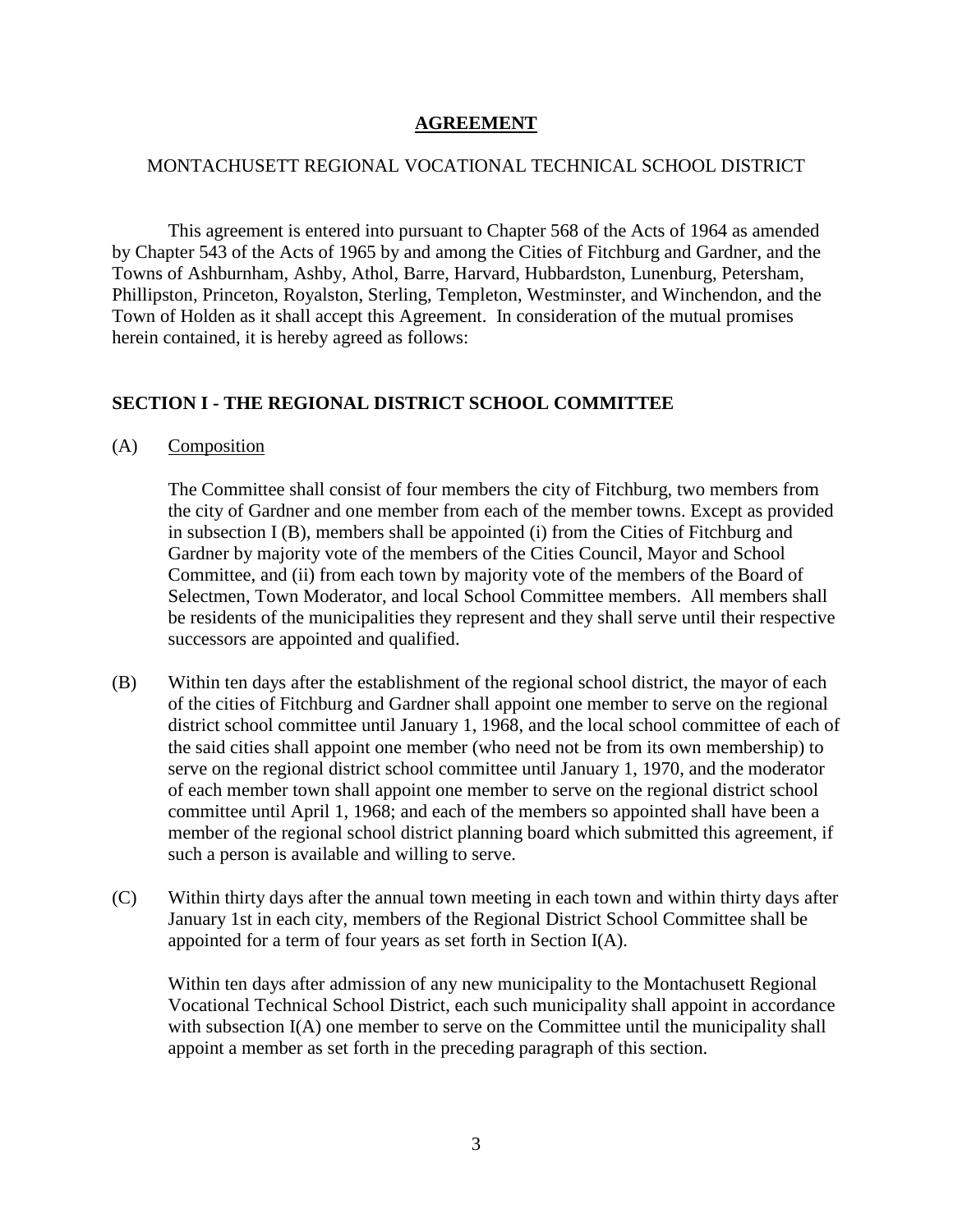## **AGREEMENT**

## MONTACHUSETT REGIONAL VOCATIONAL TECHNICAL SCHOOL DISTRICT

This agreement is entered into pursuant to Chapter 568 of the Acts of 1964 as amended by Chapter 543 of the Acts of 1965 by and among the Cities of Fitchburg and Gardner, and the Towns of Ashburnham, Ashby, Athol, Barre, Harvard, Hubbardston, Lunenburg, Petersham, Phillipston, Princeton, Royalston, Sterling, Templeton, Westminster, and Winchendon, and the Town of Holden as it shall accept this Agreement. In consideration of the mutual promises herein contained, it is hereby agreed as follows:

# **SECTION I - THE REGIONAL DISTRICT SCHOOL COMMITTEE**

(A) Composition

The Committee shall consist of four members the city of Fitchburg, two members from the city of Gardner and one member from each of the member towns. Except as provided in subsection I (B), members shall be appointed (i) from the Cities of Fitchburg and Gardner by majority vote of the members of the Cities Council, Mayor and School Committee, and (ii) from each town by majority vote of the members of the Board of Selectmen, Town Moderator, and local School Committee members. All members shall be residents of the municipalities they represent and they shall serve until their respective successors are appointed and qualified.

- (B) Within ten days after the establishment of the regional school district, the mayor of each of the cities of Fitchburg and Gardner shall appoint one member to serve on the regional district school committee until January 1, 1968, and the local school committee of each of the said cities shall appoint one member (who need not be from its own membership) to serve on the regional district school committee until January 1, 1970, and the moderator of each member town shall appoint one member to serve on the regional district school committee until April 1, 1968; and each of the members so appointed shall have been a member of the regional school district planning board which submitted this agreement, if such a person is available and willing to serve.
- (C) Within thirty days after the annual town meeting in each town and within thirty days after January 1st in each city, members of the Regional District School Committee shall be appointed for a term of four years as set forth in Section I(A).

Within ten days after admission of any new municipality to the Montachusett Regional Vocational Technical School District, each such municipality shall appoint in accordance with subsection I(A) one member to serve on the Committee until the municipality shall appoint a member as set forth in the preceding paragraph of this section.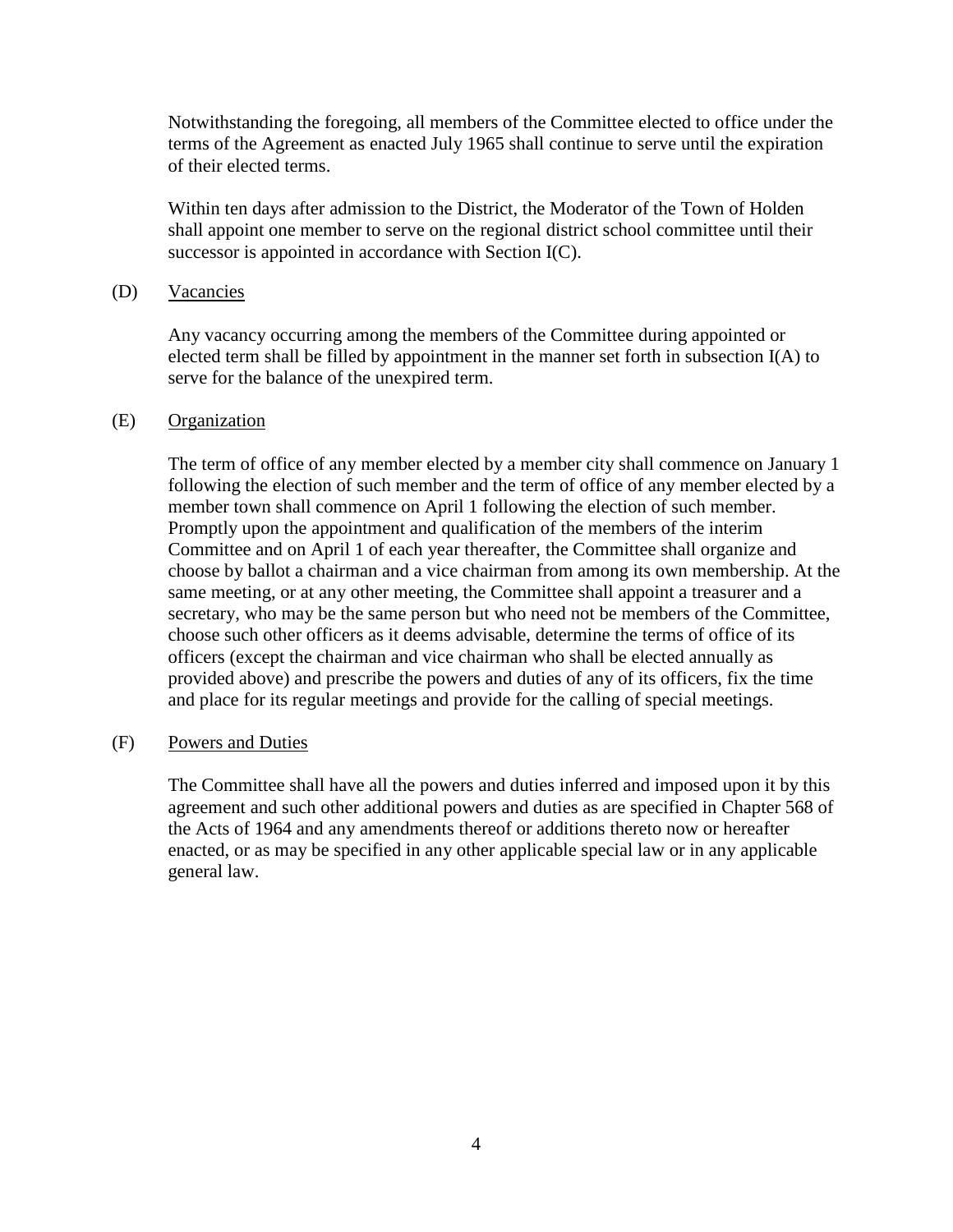Notwithstanding the foregoing, all members of the Committee elected to office under the terms of the Agreement as enacted July 1965 shall continue to serve until the expiration of their elected terms.

Within ten days after admission to the District, the Moderator of the Town of Holden shall appoint one member to serve on the regional district school committee until their successor is appointed in accordance with Section I(C).

# (D) Vacancies

Any vacancy occurring among the members of the Committee during appointed or elected term shall be filled by appointment in the manner set forth in subsection I(A) to serve for the balance of the unexpired term.

#### (E) Organization

The term of office of any member elected by a member city shall commence on January 1 following the election of such member and the term of office of any member elected by a member town shall commence on April 1 following the election of such member. Promptly upon the appointment and qualification of the members of the interim Committee and on April 1 of each year thereafter, the Committee shall organize and choose by ballot a chairman and a vice chairman from among its own membership. At the same meeting, or at any other meeting, the Committee shall appoint a treasurer and a secretary, who may be the same person but who need not be members of the Committee, choose such other officers as it deems advisable, determine the terms of office of its officers (except the chairman and vice chairman who shall be elected annually as provided above) and prescribe the powers and duties of any of its officers, fix the time and place for its regular meetings and provide for the calling of special meetings.

#### (F) Powers and Duties

The Committee shall have all the powers and duties inferred and imposed upon it by this agreement and such other additional powers and duties as are specified in Chapter 568 of the Acts of 1964 and any amendments thereof or additions thereto now or hereafter enacted, or as may be specified in any other applicable special law or in any applicable general law.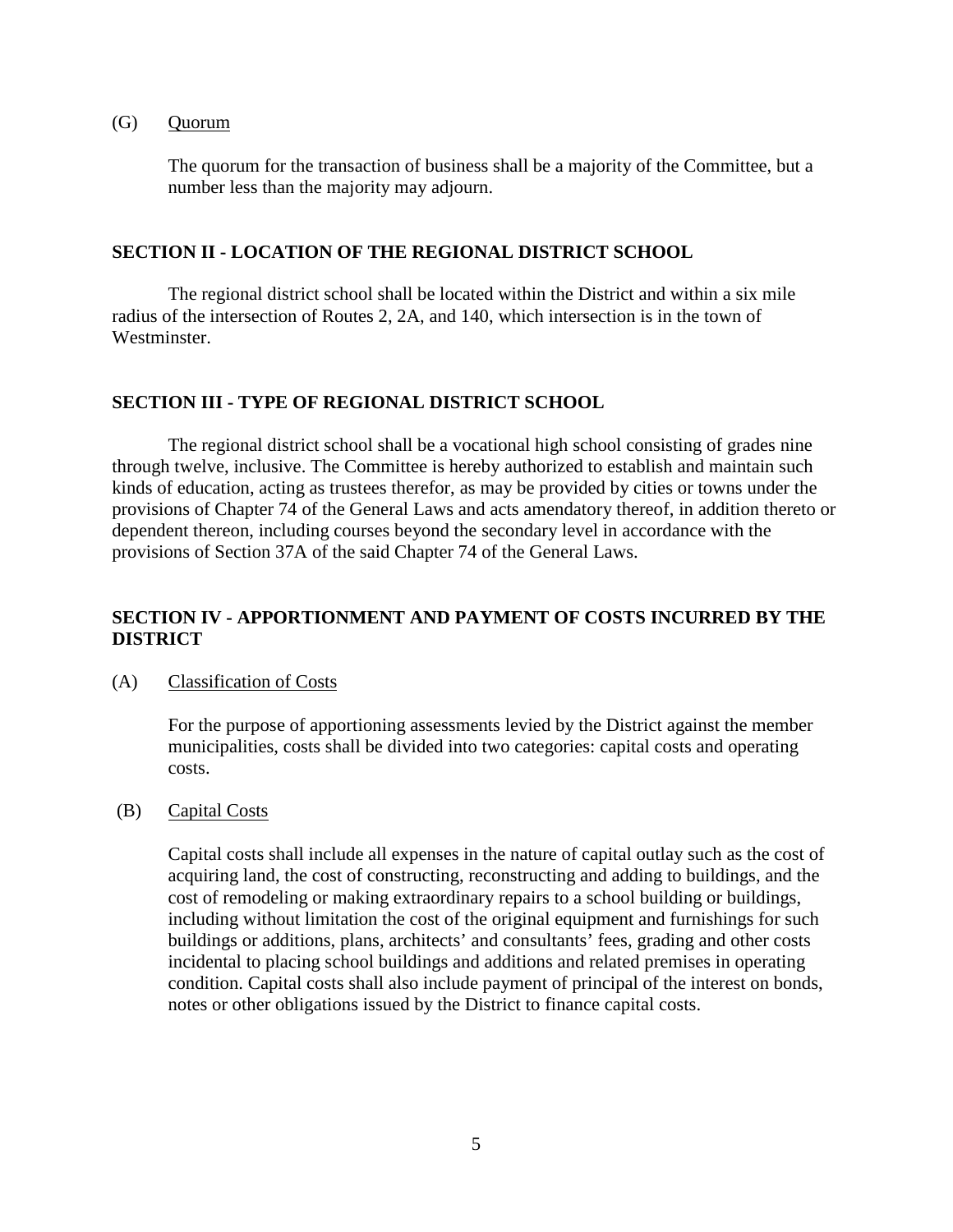#### (G) Quorum

The quorum for the transaction of business shall be a majority of the Committee, but a number less than the majority may adjourn.

## **SECTION II - LOCATION OF THE REGIONAL DISTRICT SCHOOL**

The regional district school shall be located within the District and within a six mile radius of the intersection of Routes 2, 2A, and 140, which intersection is in the town of Westminster.

# **SECTION III - TYPE OF REGIONAL DISTRICT SCHOOL**

The regional district school shall be a vocational high school consisting of grades nine through twelve, inclusive. The Committee is hereby authorized to establish and maintain such kinds of education, acting as trustees therefor, as may be provided by cities or towns under the provisions of Chapter 74 of the General Laws and acts amendatory thereof, in addition thereto or dependent thereon, including courses beyond the secondary level in accordance with the provisions of Section 37A of the said Chapter 74 of the General Laws.

# **SECTION IV - APPORTIONMENT AND PAYMENT OF COSTS INCURRED BY THE DISTRICT**

#### (A) Classification of Costs

For the purpose of apportioning assessments levied by the District against the member municipalities, costs shall be divided into two categories: capital costs and operating costs.

#### (B) Capital Costs

Capital costs shall include all expenses in the nature of capital outlay such as the cost of acquiring land, the cost of constructing, reconstructing and adding to buildings, and the cost of remodeling or making extraordinary repairs to a school building or buildings, including without limitation the cost of the original equipment and furnishings for such buildings or additions, plans, architects' and consultants' fees, grading and other costs incidental to placing school buildings and additions and related premises in operating condition. Capital costs shall also include payment of principal of the interest on bonds, notes or other obligations issued by the District to finance capital costs.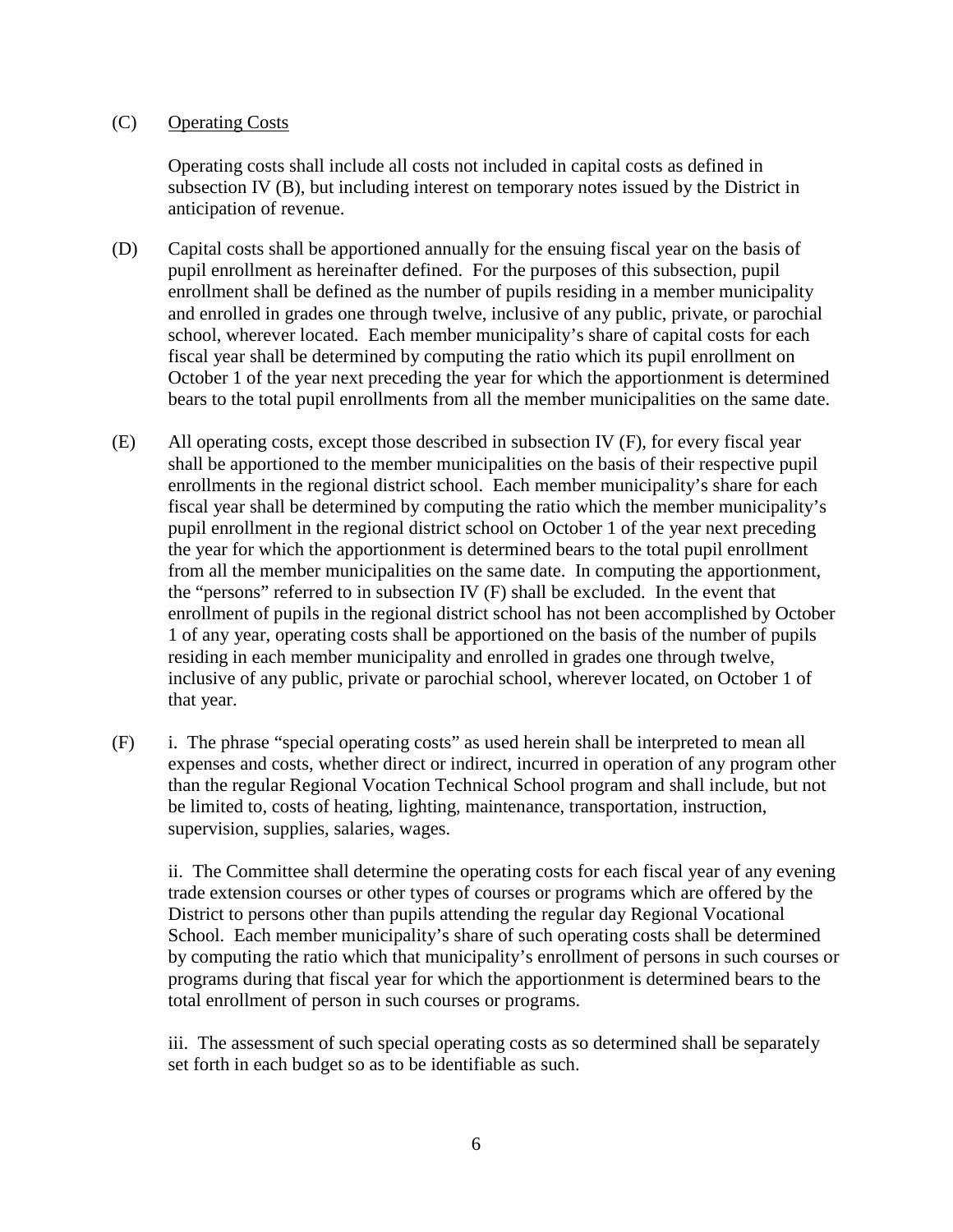# (C) Operating Costs

Operating costs shall include all costs not included in capital costs as defined in subsection IV (B), but including interest on temporary notes issued by the District in anticipation of revenue.

- (D) Capital costs shall be apportioned annually for the ensuing fiscal year on the basis of pupil enrollment as hereinafter defined. For the purposes of this subsection, pupil enrollment shall be defined as the number of pupils residing in a member municipality and enrolled in grades one through twelve, inclusive of any public, private, or parochial school, wherever located. Each member municipality's share of capital costs for each fiscal year shall be determined by computing the ratio which its pupil enrollment on October 1 of the year next preceding the year for which the apportionment is determined bears to the total pupil enrollments from all the member municipalities on the same date.
- (E) All operating costs, except those described in subsection IV (F), for every fiscal year shall be apportioned to the member municipalities on the basis of their respective pupil enrollments in the regional district school. Each member municipality's share for each fiscal year shall be determined by computing the ratio which the member municipality's pupil enrollment in the regional district school on October 1 of the year next preceding the year for which the apportionment is determined bears to the total pupil enrollment from all the member municipalities on the same date. In computing the apportionment, the "persons" referred to in subsection IV (F) shall be excluded. In the event that enrollment of pupils in the regional district school has not been accomplished by October 1 of any year, operating costs shall be apportioned on the basis of the number of pupils residing in each member municipality and enrolled in grades one through twelve, inclusive of any public, private or parochial school, wherever located, on October 1 of that year.
- (F) i. The phrase "special operating costs" as used herein shall be interpreted to mean all expenses and costs, whether direct or indirect, incurred in operation of any program other than the regular Regional Vocation Technical School program and shall include, but not be limited to, costs of heating, lighting, maintenance, transportation, instruction, supervision, supplies, salaries, wages.

ii. The Committee shall determine the operating costs for each fiscal year of any evening trade extension courses or other types of courses or programs which are offered by the District to persons other than pupils attending the regular day Regional Vocational School. Each member municipality's share of such operating costs shall be determined by computing the ratio which that municipality's enrollment of persons in such courses or programs during that fiscal year for which the apportionment is determined bears to the total enrollment of person in such courses or programs.

iii. The assessment of such special operating costs as so determined shall be separately set forth in each budget so as to be identifiable as such.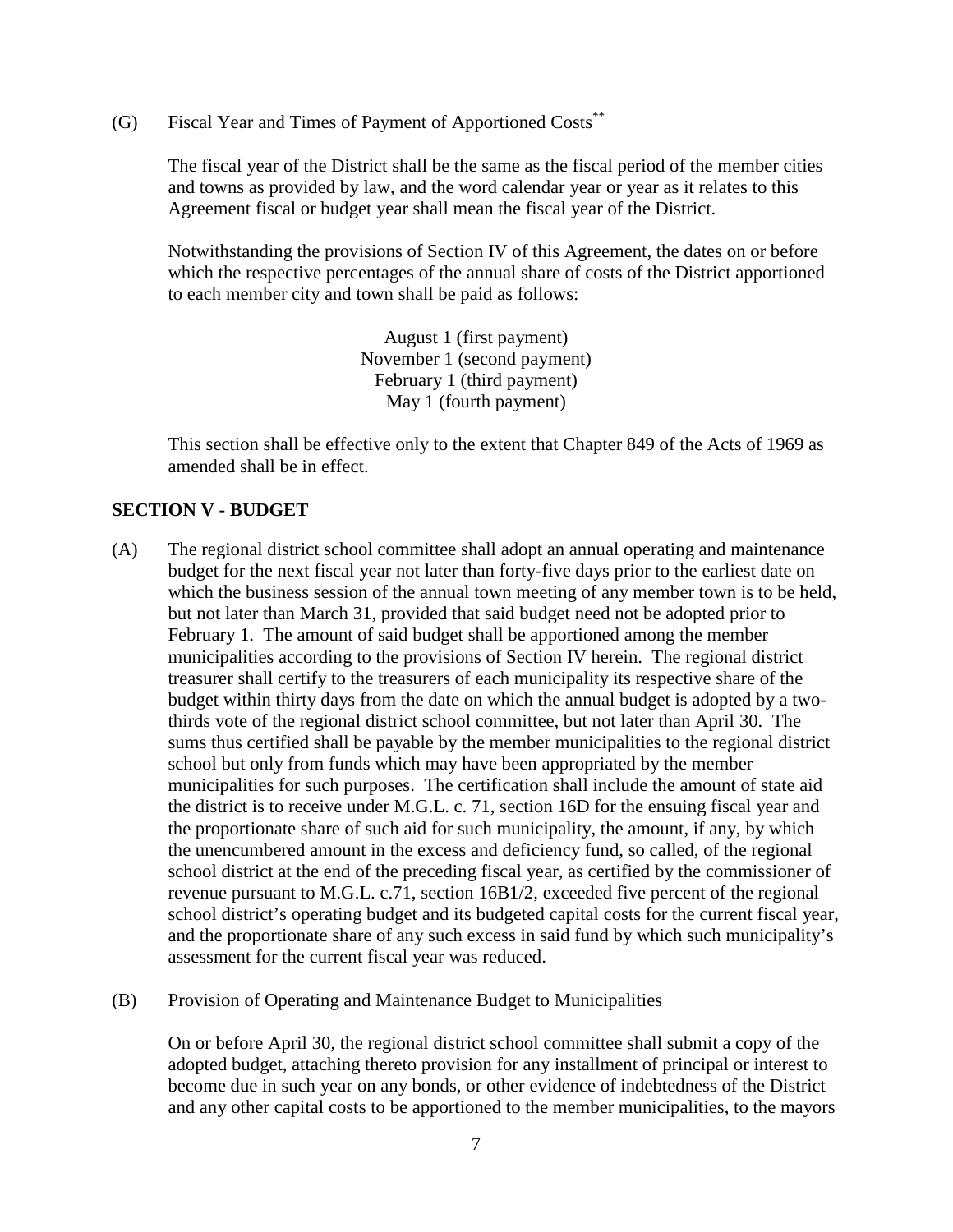(G) Fiscal Year and Times of Payment of Apportioned Costs\*\*

The fiscal year of the District shall be the same as the fiscal period of the member cities and towns as provided by law, and the word calendar year or year as it relates to this Agreement fiscal or budget year shall mean the fiscal year of the District.

Notwithstanding the provisions of Section IV of this Agreement, the dates on or before which the respective percentages of the annual share of costs of the District apportioned to each member city and town shall be paid as follows:

> August 1 (first payment) November 1 (second payment) February 1 (third payment) May 1 (fourth payment)

This section shall be effective only to the extent that Chapter 849 of the Acts of 1969 as amended shall be in effect.

# **SECTION V - BUDGET**

- (A) The regional district school committee shall adopt an annual operating and maintenance budget for the next fiscal year not later than forty-five days prior to the earliest date on which the business session of the annual town meeting of any member town is to be held, but not later than March 31, provided that said budget need not be adopted prior to February 1. The amount of said budget shall be apportioned among the member municipalities according to the provisions of Section IV herein. The regional district treasurer shall certify to the treasurers of each municipality its respective share of the budget within thirty days from the date on which the annual budget is adopted by a twothirds vote of the regional district school committee, but not later than April 30. The sums thus certified shall be payable by the member municipalities to the regional district school but only from funds which may have been appropriated by the member municipalities for such purposes. The certification shall include the amount of state aid the district is to receive under M.G.L. c. 71, section 16D for the ensuing fiscal year and the proportionate share of such aid for such municipality, the amount, if any, by which the unencumbered amount in the excess and deficiency fund, so called, of the regional school district at the end of the preceding fiscal year, as certified by the commissioner of revenue pursuant to M.G.L. c.71, section 16B1/2, exceeded five percent of the regional school district's operating budget and its budgeted capital costs for the current fiscal year, and the proportionate share of any such excess in said fund by which such municipality's assessment for the current fiscal year was reduced.
- (B) Provision of Operating and Maintenance Budget to Municipalities

On or before April 30, the regional district school committee shall submit a copy of the adopted budget, attaching thereto provision for any installment of principal or interest to become due in such year on any bonds, or other evidence of indebtedness of the District and any other capital costs to be apportioned to the member municipalities, to the mayors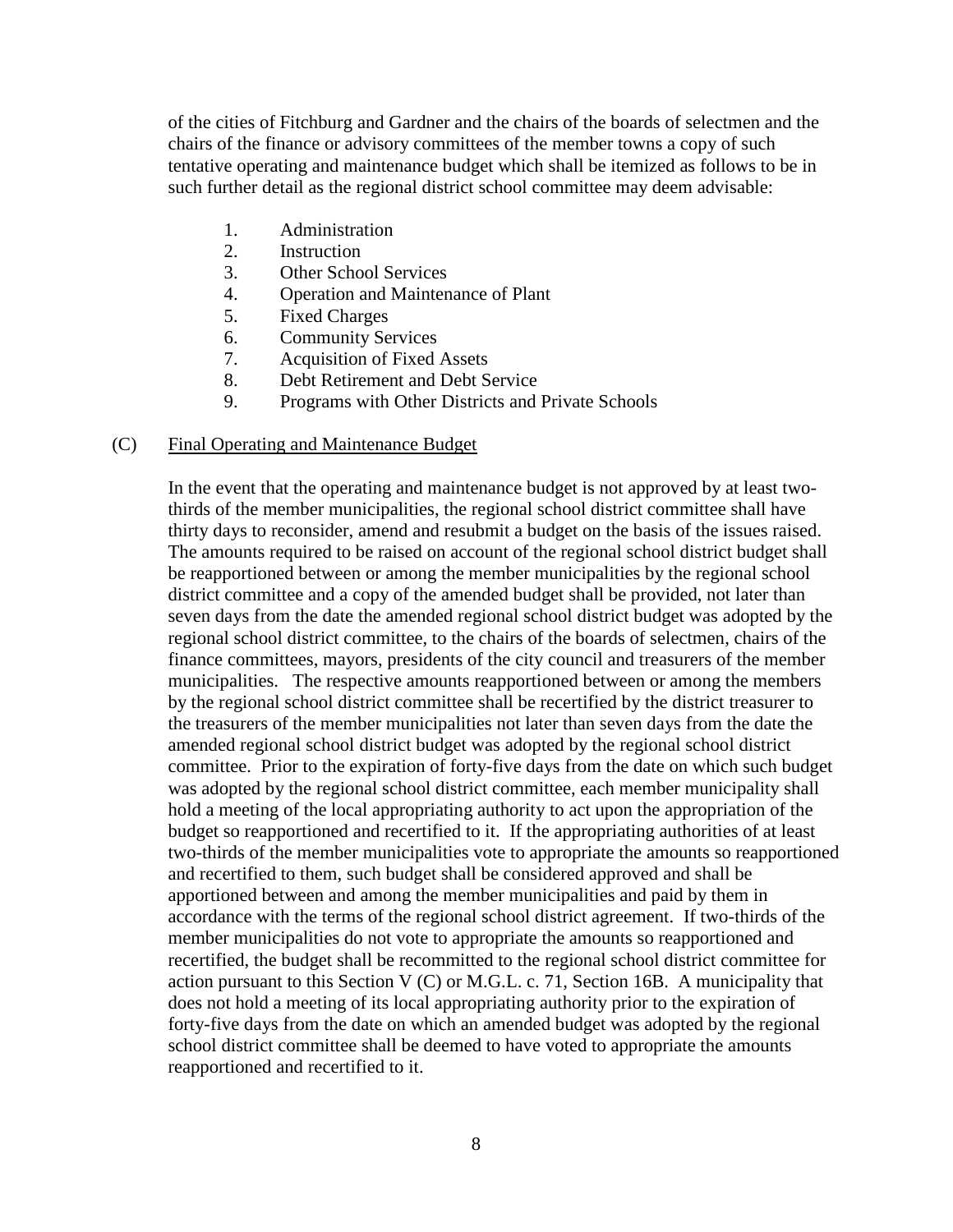of the cities of Fitchburg and Gardner and the chairs of the boards of selectmen and the chairs of the finance or advisory committees of the member towns a copy of such tentative operating and maintenance budget which shall be itemized as follows to be in such further detail as the regional district school committee may deem advisable:

- 1. Administration
- 2. Instruction
- 3. Other School Services
- 4. Operation and Maintenance of Plant
- 5. Fixed Charges
- 6. Community Services
- 7. Acquisition of Fixed Assets
- 8. Debt Retirement and Debt Service
- 9. Programs with Other Districts and Private Schools

#### (C) Final Operating and Maintenance Budget

In the event that the operating and maintenance budget is not approved by at least twothirds of the member municipalities, the regional school district committee shall have thirty days to reconsider, amend and resubmit a budget on the basis of the issues raised. The amounts required to be raised on account of the regional school district budget shall be reapportioned between or among the member municipalities by the regional school district committee and a copy of the amended budget shall be provided, not later than seven days from the date the amended regional school district budget was adopted by the regional school district committee, to the chairs of the boards of selectmen, chairs of the finance committees, mayors, presidents of the city council and treasurers of the member municipalities. The respective amounts reapportioned between or among the members by the regional school district committee shall be recertified by the district treasurer to the treasurers of the member municipalities not later than seven days from the date the amended regional school district budget was adopted by the regional school district committee. Prior to the expiration of forty-five days from the date on which such budget was adopted by the regional school district committee, each member municipality shall hold a meeting of the local appropriating authority to act upon the appropriation of the budget so reapportioned and recertified to it. If the appropriating authorities of at least two-thirds of the member municipalities vote to appropriate the amounts so reapportioned and recertified to them, such budget shall be considered approved and shall be apportioned between and among the member municipalities and paid by them in accordance with the terms of the regional school district agreement. If two-thirds of the member municipalities do not vote to appropriate the amounts so reapportioned and recertified, the budget shall be recommitted to the regional school district committee for action pursuant to this Section V  $(C)$  or M.G.L. c. 71, Section 16B. A municipality that does not hold a meeting of its local appropriating authority prior to the expiration of forty-five days from the date on which an amended budget was adopted by the regional school district committee shall be deemed to have voted to appropriate the amounts reapportioned and recertified to it.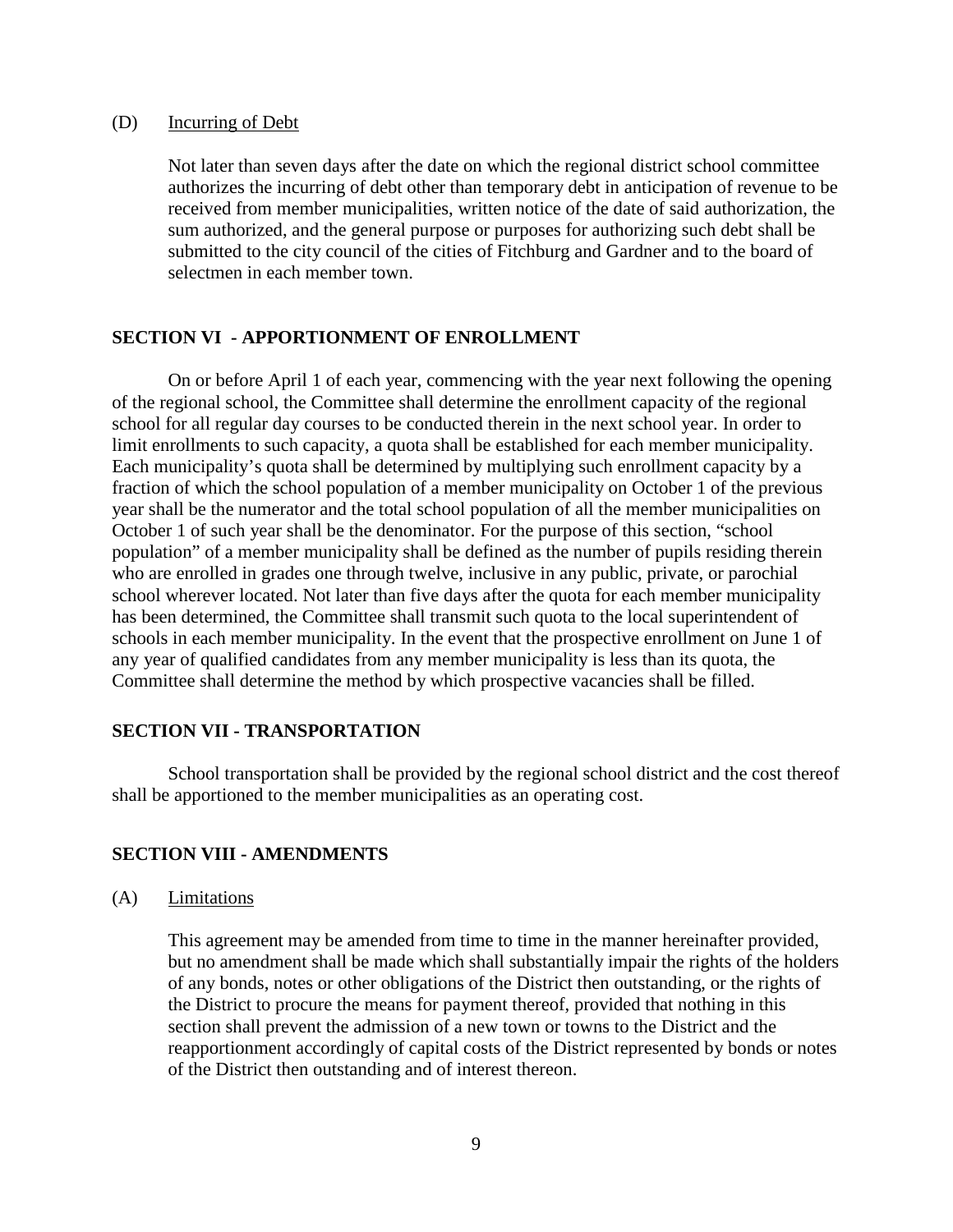#### (D) Incurring of Debt

Not later than seven days after the date on which the regional district school committee authorizes the incurring of debt other than temporary debt in anticipation of revenue to be received from member municipalities, written notice of the date of said authorization, the sum authorized, and the general purpose or purposes for authorizing such debt shall be submitted to the city council of the cities of Fitchburg and Gardner and to the board of selectmen in each member town.

#### **SECTION VI - APPORTIONMENT OF ENROLLMENT**

On or before April 1 of each year, commencing with the year next following the opening of the regional school, the Committee shall determine the enrollment capacity of the regional school for all regular day courses to be conducted therein in the next school year. In order to limit enrollments to such capacity, a quota shall be established for each member municipality. Each municipality's quota shall be determined by multiplying such enrollment capacity by a fraction of which the school population of a member municipality on October 1 of the previous year shall be the numerator and the total school population of all the member municipalities on October 1 of such year shall be the denominator. For the purpose of this section, "school population" of a member municipality shall be defined as the number of pupils residing therein who are enrolled in grades one through twelve, inclusive in any public, private, or parochial school wherever located. Not later than five days after the quota for each member municipality has been determined, the Committee shall transmit such quota to the local superintendent of schools in each member municipality. In the event that the prospective enrollment on June 1 of any year of qualified candidates from any member municipality is less than its quota, the Committee shall determine the method by which prospective vacancies shall be filled.

#### **SECTION VII - TRANSPORTATION**

School transportation shall be provided by the regional school district and the cost thereof shall be apportioned to the member municipalities as an operating cost.

#### **SECTION VIII - AMENDMENTS**

(A) Limitations

This agreement may be amended from time to time in the manner hereinafter provided, but no amendment shall be made which shall substantially impair the rights of the holders of any bonds, notes or other obligations of the District then outstanding, or the rights of the District to procure the means for payment thereof, provided that nothing in this section shall prevent the admission of a new town or towns to the District and the reapportionment accordingly of capital costs of the District represented by bonds or notes of the District then outstanding and of interest thereon.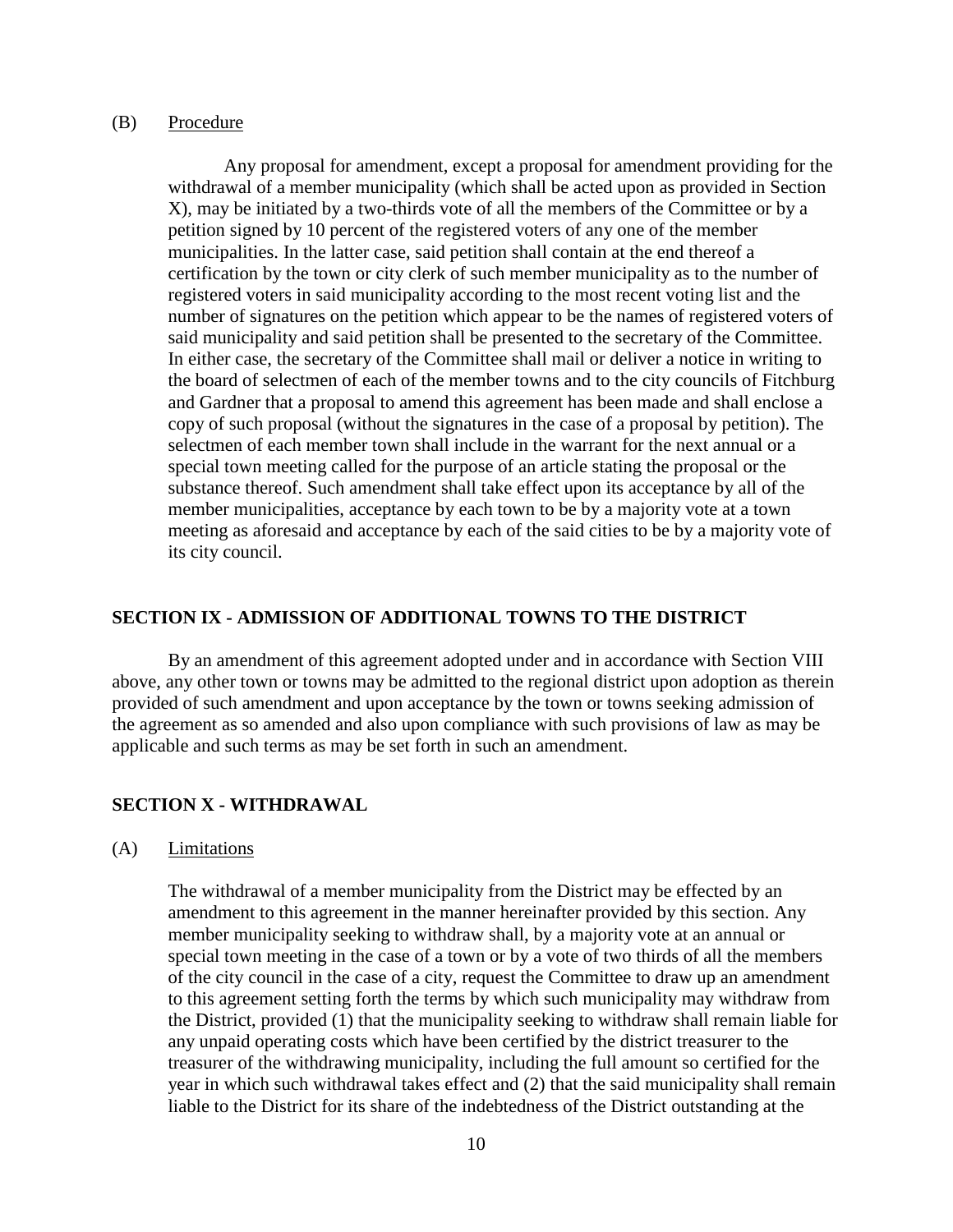#### (B) Procedure

Any proposal for amendment, except a proposal for amendment providing for the withdrawal of a member municipality (which shall be acted upon as provided in Section X), may be initiated by a two-thirds vote of all the members of the Committee or by a petition signed by 10 percent of the registered voters of any one of the member municipalities. In the latter case, said petition shall contain at the end thereof a certification by the town or city clerk of such member municipality as to the number of registered voters in said municipality according to the most recent voting list and the number of signatures on the petition which appear to be the names of registered voters of said municipality and said petition shall be presented to the secretary of the Committee. In either case, the secretary of the Committee shall mail or deliver a notice in writing to the board of selectmen of each of the member towns and to the city councils of Fitchburg and Gardner that a proposal to amend this agreement has been made and shall enclose a copy of such proposal (without the signatures in the case of a proposal by petition). The selectmen of each member town shall include in the warrant for the next annual or a special town meeting called for the purpose of an article stating the proposal or the substance thereof. Such amendment shall take effect upon its acceptance by all of the member municipalities, acceptance by each town to be by a majority vote at a town meeting as aforesaid and acceptance by each of the said cities to be by a majority vote of its city council.

#### **SECTION IX - ADMISSION OF ADDITIONAL TOWNS TO THE DISTRICT**

By an amendment of this agreement adopted under and in accordance with Section VIII above, any other town or towns may be admitted to the regional district upon adoption as therein provided of such amendment and upon acceptance by the town or towns seeking admission of the agreement as so amended and also upon compliance with such provisions of law as may be applicable and such terms as may be set forth in such an amendment.

#### **SECTION X - WITHDRAWAL**

(A) Limitations

The withdrawal of a member municipality from the District may be effected by an amendment to this agreement in the manner hereinafter provided by this section. Any member municipality seeking to withdraw shall, by a majority vote at an annual or special town meeting in the case of a town or by a vote of two thirds of all the members of the city council in the case of a city, request the Committee to draw up an amendment to this agreement setting forth the terms by which such municipality may withdraw from the District, provided (1) that the municipality seeking to withdraw shall remain liable for any unpaid operating costs which have been certified by the district treasurer to the treasurer of the withdrawing municipality, including the full amount so certified for the year in which such withdrawal takes effect and (2) that the said municipality shall remain liable to the District for its share of the indebtedness of the District outstanding at the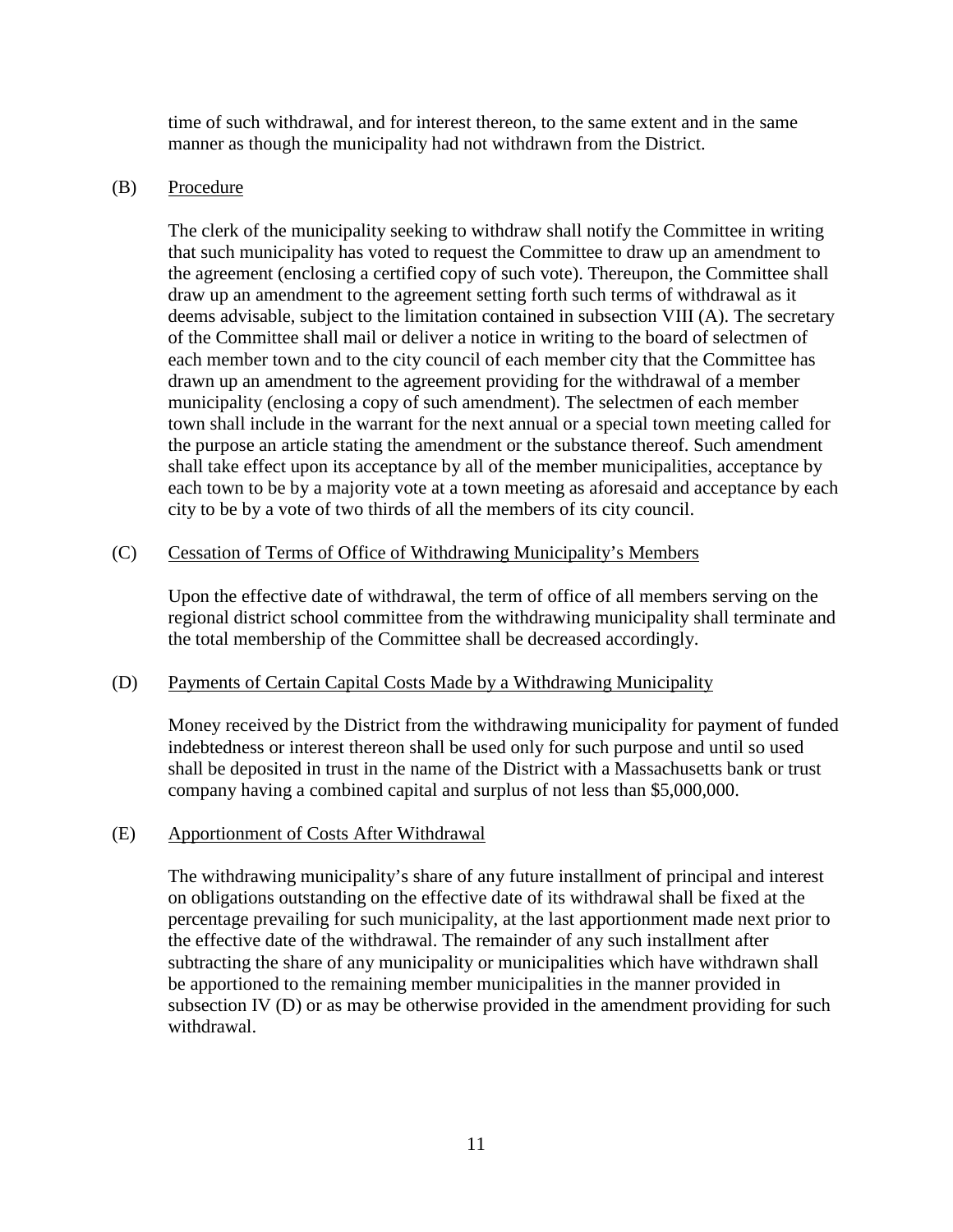time of such withdrawal, and for interest thereon, to the same extent and in the same manner as though the municipality had not withdrawn from the District.

# (B) Procedure

The clerk of the municipality seeking to withdraw shall notify the Committee in writing that such municipality has voted to request the Committee to draw up an amendment to the agreement (enclosing a certified copy of such vote). Thereupon, the Committee shall draw up an amendment to the agreement setting forth such terms of withdrawal as it deems advisable, subject to the limitation contained in subsection VIII (A). The secretary of the Committee shall mail or deliver a notice in writing to the board of selectmen of each member town and to the city council of each member city that the Committee has drawn up an amendment to the agreement providing for the withdrawal of a member municipality (enclosing a copy of such amendment). The selectmen of each member town shall include in the warrant for the next annual or a special town meeting called for the purpose an article stating the amendment or the substance thereof. Such amendment shall take effect upon its acceptance by all of the member municipalities, acceptance by each town to be by a majority vote at a town meeting as aforesaid and acceptance by each city to be by a vote of two thirds of all the members of its city council.

# (C) Cessation of Terms of Office of Withdrawing Municipality's Members

Upon the effective date of withdrawal, the term of office of all members serving on the regional district school committee from the withdrawing municipality shall terminate and the total membership of the Committee shall be decreased accordingly.

# (D) Payments of Certain Capital Costs Made by a Withdrawing Municipality

Money received by the District from the withdrawing municipality for payment of funded indebtedness or interest thereon shall be used only for such purpose and until so used shall be deposited in trust in the name of the District with a Massachusetts bank or trust company having a combined capital and surplus of not less than \$5,000,000.

# (E) Apportionment of Costs After Withdrawal

The withdrawing municipality's share of any future installment of principal and interest on obligations outstanding on the effective date of its withdrawal shall be fixed at the percentage prevailing for such municipality, at the last apportionment made next prior to the effective date of the withdrawal. The remainder of any such installment after subtracting the share of any municipality or municipalities which have withdrawn shall be apportioned to the remaining member municipalities in the manner provided in subsection IV (D) or as may be otherwise provided in the amendment providing for such withdrawal.